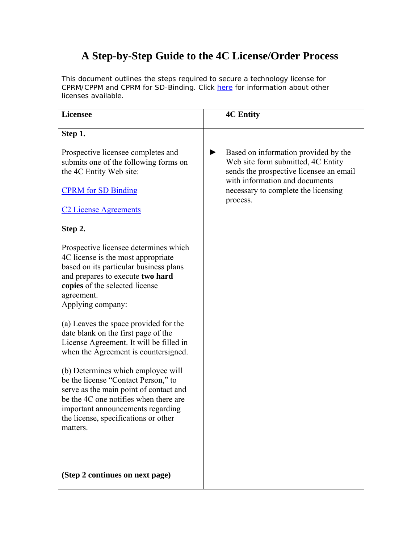## **A Step-by-Step Guide to the 4C License/Order Process**

This document outlines the steps required to secure a technology license for CPRM/CPPM and CPRM for SD-Binding. Click [here](http://www.4centity.com/license.html) for information about other licenses available.

| <b>Licensee</b>                                                                                                                                                                                                                                                                                                                                                                                                                                                                                                                                                                                                                                                       |   | <b>4C Entity</b>                                                                                                                                                                                           |
|-----------------------------------------------------------------------------------------------------------------------------------------------------------------------------------------------------------------------------------------------------------------------------------------------------------------------------------------------------------------------------------------------------------------------------------------------------------------------------------------------------------------------------------------------------------------------------------------------------------------------------------------------------------------------|---|------------------------------------------------------------------------------------------------------------------------------------------------------------------------------------------------------------|
| Step 1.<br>Prospective licensee completes and<br>submits one of the following forms on<br>the 4C Entity Web site:<br><b>CPRM</b> for SD Binding<br><b>C2 License Agreements</b>                                                                                                                                                                                                                                                                                                                                                                                                                                                                                       | ▶ | Based on information provided by the<br>Web site form submitted, 4C Entity<br>sends the prospective licensee an email<br>with information and documents<br>necessary to complete the licensing<br>process. |
| Step 2.<br>Prospective licensee determines which<br>4C license is the most appropriate<br>based on its particular business plans<br>and prepares to execute two hard<br>copies of the selected license<br>agreement.<br>Applying company:<br>(a) Leaves the space provided for the<br>date blank on the first page of the<br>License Agreement. It will be filled in<br>when the Agreement is countersigned.<br>(b) Determines which employee will<br>be the license "Contact Person," to<br>serve as the main point of contact and<br>be the 4C one notifies when there are<br>important announcements regarding<br>the license, specifications or other<br>matters. |   |                                                                                                                                                                                                            |
| (Step 2 continues on next page)                                                                                                                                                                                                                                                                                                                                                                                                                                                                                                                                                                                                                                       |   |                                                                                                                                                                                                            |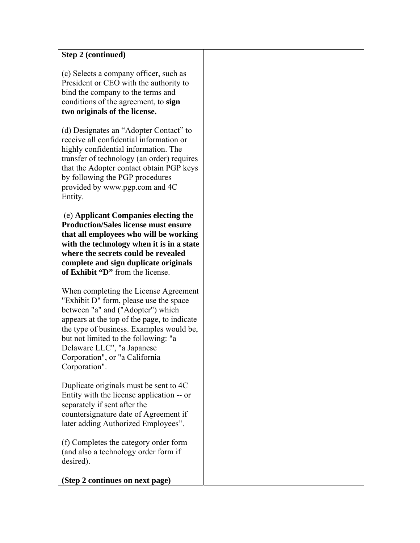| <b>Step 2 (continued)</b>                                                                                                                                                                                                                                                                                                                 |  |
|-------------------------------------------------------------------------------------------------------------------------------------------------------------------------------------------------------------------------------------------------------------------------------------------------------------------------------------------|--|
| (c) Selects a company officer, such as<br>President or CEO with the authority to<br>bind the company to the terms and<br>conditions of the agreement, to sign<br>two originals of the license.                                                                                                                                            |  |
| (d) Designates an "Adopter Contact" to<br>receive all confidential information or<br>highly confidential information. The<br>transfer of technology (an order) requires<br>that the Adopter contact obtain PGP keys<br>by following the PGP procedures<br>provided by www.pgp.com and 4C<br>Entity.                                       |  |
| (e) Applicant Companies electing the<br><b>Production/Sales license must ensure</b><br>that all employees who will be working<br>with the technology when it is in a state<br>where the secrets could be revealed<br>complete and sign duplicate originals<br>of Exhibit "D" from the license.                                            |  |
| When completing the License Agreement<br>"Exhibit D" form, please use the space"<br>between "a" and ("Adopter") which<br>appears at the top of the page, to indicate<br>the type of business. Examples would be,<br>but not limited to the following: "a<br>Delaware LLC", "a Japanese<br>Corporation", or "a California<br>Corporation". |  |
| Duplicate originals must be sent to 4C<br>Entity with the license application -- or<br>separately if sent after the<br>countersignature date of Agreement if<br>later adding Authorized Employees".                                                                                                                                       |  |
| (f) Completes the category order form<br>(and also a technology order form if<br>desired).<br>(Step 2 continues on next page)                                                                                                                                                                                                             |  |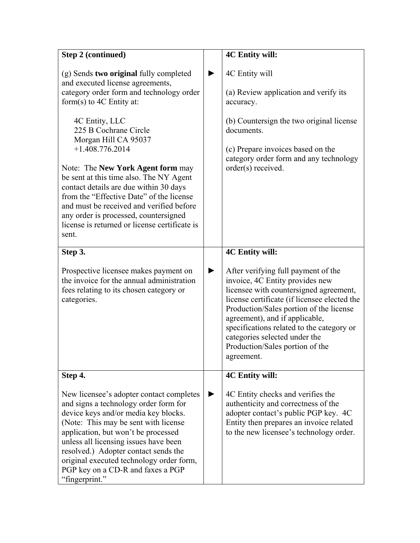| <b>Step 2 (continued)</b>                                                                                                                                                                                                                                                                                                                                                                                                                                                                                                                                                 |   | <b>4C Entity will:</b>                                                                                                                                                                                                                                                                                                                                                                                 |
|---------------------------------------------------------------------------------------------------------------------------------------------------------------------------------------------------------------------------------------------------------------------------------------------------------------------------------------------------------------------------------------------------------------------------------------------------------------------------------------------------------------------------------------------------------------------------|---|--------------------------------------------------------------------------------------------------------------------------------------------------------------------------------------------------------------------------------------------------------------------------------------------------------------------------------------------------------------------------------------------------------|
| (g) Sends two original fully completed<br>and executed license agreements,<br>category order form and technology order<br>form $(s)$ to 4C Entity at:<br>4C Entity, LLC<br>225 B Cochrane Circle<br>Morgan Hill CA 95037<br>$+1.408.776.2014$<br>Note: The <b>New York Agent form</b> may<br>be sent at this time also. The NY Agent<br>contact details are due within 30 days<br>from the "Effective Date" of the license<br>and must be received and verified before<br>any order is processed, countersigned<br>license is returned or license certificate is<br>sent. |   | 4C Entity will<br>(a) Review application and verify its<br>accuracy.<br>(b) Countersign the two original license<br>documents.<br>(c) Prepare invoices based on the<br>category order form and any technology<br>order(s) received.                                                                                                                                                                    |
|                                                                                                                                                                                                                                                                                                                                                                                                                                                                                                                                                                           |   |                                                                                                                                                                                                                                                                                                                                                                                                        |
| Step 3.<br>Prospective licensee makes payment on<br>the invoice for the annual administration<br>fees relating to its chosen category or<br>categories.                                                                                                                                                                                                                                                                                                                                                                                                                   | ▶ | <b>4C Entity will:</b><br>After verifying full payment of the<br>invoice, 4C Entity provides new<br>licensee with countersigned agreement,<br>license certificate (if licensee elected the<br>Production/Sales portion of the license<br>agreement), and if applicable,<br>specifications related to the category or<br>categories selected under the<br>Production/Sales portion of the<br>agreement. |
| Step 4.<br>New licensee's adopter contact completes<br>and signs a technology order form for<br>device keys and/or media key blocks.<br>(Note: This may be sent with license<br>application, but won't be processed<br>unless all licensing issues have been<br>resolved.) Adopter contact sends the<br>original executed technology order form,<br>PGP key on a CD-R and faxes a PGP<br>"fingerprint."                                                                                                                                                                   | ▶ | <b>4C Entity will:</b><br>4C Entity checks and verifies the<br>authenticity and correctness of the<br>adopter contact's public PGP key. 4C<br>Entity then prepares an invoice related<br>to the new licensee's technology order.                                                                                                                                                                       |